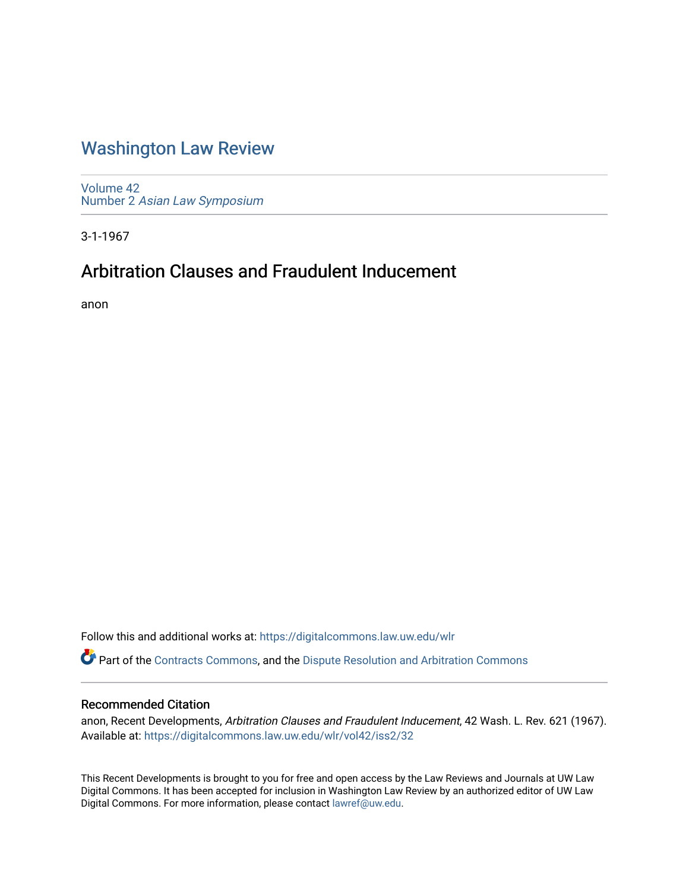# [Washington Law Review](https://digitalcommons.law.uw.edu/wlr)

[Volume 42](https://digitalcommons.law.uw.edu/wlr/vol42) Number 2 [Asian Law Symposium](https://digitalcommons.law.uw.edu/wlr/vol42/iss2) 

3-1-1967

# Arbitration Clauses and Fraudulent Inducement

anon

Follow this and additional works at: [https://digitalcommons.law.uw.edu/wlr](https://digitalcommons.law.uw.edu/wlr?utm_source=digitalcommons.law.uw.edu%2Fwlr%2Fvol42%2Fiss2%2F32&utm_medium=PDF&utm_campaign=PDFCoverPages)

Part of the [Contracts Commons](http://network.bepress.com/hgg/discipline/591?utm_source=digitalcommons.law.uw.edu%2Fwlr%2Fvol42%2Fiss2%2F32&utm_medium=PDF&utm_campaign=PDFCoverPages), and the [Dispute Resolution and Arbitration Commons](http://network.bepress.com/hgg/discipline/890?utm_source=digitalcommons.law.uw.edu%2Fwlr%2Fvol42%2Fiss2%2F32&utm_medium=PDF&utm_campaign=PDFCoverPages) 

### Recommended Citation

anon, Recent Developments, Arbitration Clauses and Fraudulent Inducement, 42 Wash. L. Rev. 621 (1967). Available at: [https://digitalcommons.law.uw.edu/wlr/vol42/iss2/32](https://digitalcommons.law.uw.edu/wlr/vol42/iss2/32?utm_source=digitalcommons.law.uw.edu%2Fwlr%2Fvol42%2Fiss2%2F32&utm_medium=PDF&utm_campaign=PDFCoverPages) 

This Recent Developments is brought to you for free and open access by the Law Reviews and Journals at UW Law Digital Commons. It has been accepted for inclusion in Washington Law Review by an authorized editor of UW Law Digital Commons. For more information, please contact [lawref@uw.edu.](mailto:lawref@uw.edu)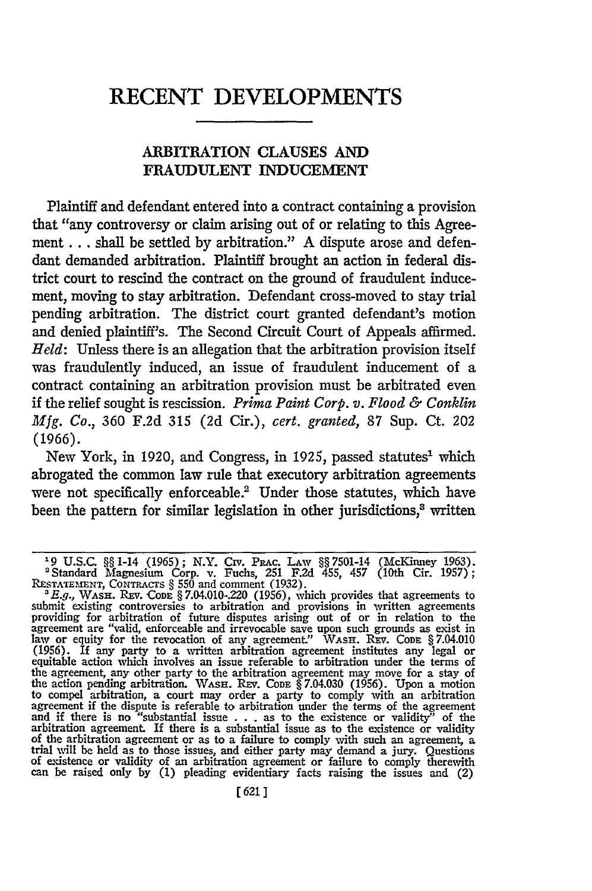## **RECENT DEVELOPMENTS**

#### ARBITRATION **CLAUSES AND FRAUDULENT INDUCEMENT**

Plaintiff and defendant entered into a contract containing a provision that "any controversy or claim arising out of or relating to this Agreement... shall be settled by arbitration." A dispute arose and defendant demanded arbitration. Plaintiff brought an action in federal district court to rescind the contract on the ground of fraudulent inducement, moving to stay arbitration. Defendant cross-moved to stay trial pending arbitration. The district court granted defendant's motion and denied plaintiff's. The Second Circuit Court of Appeals affirmed. *Held:* Unless there is an allegation that the arbitration provision itself was fraudulently induced, an issue of fraudulent inducement of a contract containing an arbitration provision must be arbitrated even if the relief sought is rescission. *Prima Paint Corp. v. Flood & Conklin Mfg. Co.,* 360 F.2d **315** (2d Cir.), *cert. granted,* 87 Sup. Ct. 202 **(1966).**

New York, in 1920, and Congress, in 1925, passed statutes<sup>1</sup> which abrogated the common law rule that executory arbitration agreements were not specifically enforceable.<sup>2</sup> Under those statutes, which have been the pattern for similar legislation in other jurisdictions,<sup>3</sup> written

**L9** U.S.C. §§ 1-14 (1965); N.Y. Civ. PaRC. LAW §§7501-14 (McKinney 1963). 'Standard Magnesium Corp. v. Fuchs, 251 **F2d** 455, 457 (10th Cir. 1957); RESTATEMENT, CONTRACTS § 550 and comment (1932).<br><sup>8</sup> E.g., WASH. REV. CODE § 7.04.010-220 (1956), which provides that agreements to

submit existing controversies to arbitration and provisions in written agreements<br>providing for arbitration of future disputes arising out of or in relation to the<br>agreement are "valid, enforceable and irrevocable save upo (1956). If any party to a written arbitration agreement institutes any legal or equitable action which involves an issue referable to arbitration under the terms of the agreement, any other party to the arbitration agreement may move for a stay of<br>the action pending arbitration. WASH. REV. CODE § 7.04.030 (1956). Upon a motion<br>to compel arbitration, a court may order a party to comply and if there is no "substantial issue . . . as to the existence or validity" of the arbitration agreement. If there is a substantial issue as to the existence or validity of the arbitration agreement or as to a failure to comply with such an agreement, a trial will be held as to those issues, and either party may demand a jury. Questions of existence or validity of an arbitration agreement or failure to comply therewith can be raised only **by** (1) pleading evidentiary facts raising the issues and (2)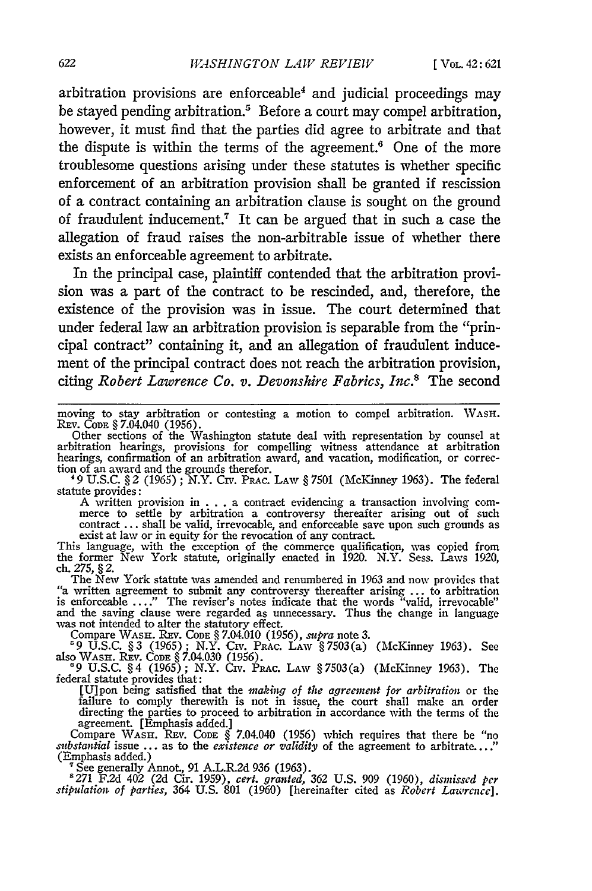arbitration provisions are enforceable' and judicial proceedings may be stayed pending arbitration.<sup>5</sup> Before a court may compel arbitration, however, it must find that the parties did agree to arbitrate and that the dispute is within the terms of the agreement.<sup>6</sup> One of the more troublesome questions arising under these statutes is whether specific enforcement of an arbitration provision shall be granted if rescission of a contract containing an arbitration clause is sought on the ground of fraudulent inducement.7 It can be argued that in such a case the allegation of fraud raises the non-arbitrable issue of whether there exists an enforceable agreement to arbitrate.

In the principal case, plaintiff contended that the arbitration provision was a part of the contract to be rescinded, and, therefore, the existence of the provision was in issue. The court determined that under federal law an arbitration provision is separable from the "principal contract" containing it, and an allegation of fraudulent inducement of the principal contract does not reach the arbitration provision, citing *Robert Lawrence Co. v. Devonshire Fabrics, Inc.*<sup>8</sup> The second

moving to stay arbitration or contesting a motion to compel arbitration. WASH.<br>REV. CoDE § 7.04.040 (1956).<br>Other sections of the Washington statute deal with representation by counsel at

arbitration hearings, provisions for compelling witness attendance at arbitration hearings, confirmation of an arbitration award, and vacation, modification, or correc- tion of an award and the grounds therefor.

tion of an award and the grounds therefor.<br>
<sup>49</sup> U.S.C. § 2 (1965); N.Y. Crv. Prac. Law § 7501 (McKinney 1963). The federal statute provides:

A written provision in . . . a contract evidencing a transaction involving com-<br>merce to settle by arbitration a controversy thereafter arising out of such contract ... shall be valid, irrevocable, and enforceable save upon such grounds as<br>exist at law or in equity for the revocation of any contract.<br>This language, with the exception of the commerce qualification, was copied

ch. *275,* § 2. The New York statute was amended and renumbered in **1963** and now provides that

"a written agreement to submit any controversy thereafter arising **...** to arbitration is enforceable .... " The reviser's notes indicate that the words "valid, irrevocable" and the saving clause were regarded as unnecessary. Thus the change in language was not intended to alter the statutory effect.

Compare **WASH.** REv. **CODE** § 7.04.010 **(1956),** *supra* note **3. '9 U.S.C. §3** (1965); N.Y. Civ. PRAc. **LAW** §7503(a) (McKinney **1963).** See also **WASH.** REv. **CODE** § 7.04.030 **(1956). 69 U.S.C.** § 4 **(1965);** N.Y. Civ. PaAc. LAW § **7503(a)** (McKinney **1963).** The

federal statute provides that:

[U]pon being satisfied that the *naking of the agreement for arbitration* or the failure to comply therewith is not in issue, the court shall make an order directing the parties to proceed to arbitration in accordance with the terms of the agreement. [Emphasis added.]

Compare WASH. REV. CODE § 7.04.040 (1956) which requires that there be "no<br>*substantial* issue ... as to the *existence or validity* of the agreement to arbitrate...." (Emphasis added.)

<sup>7</sup> See generally Annot., 91 A.L.R.2d 936 (1963).<br><sup>8</sup> 271 F.2d 402 (2d Cir. 1959), cert. granted, 362 U.S. 909 (1960), dismissed per<br>stipulation of parties, 364 U.S. 801 (1960) [hereinafter cited as Robert Lawrence].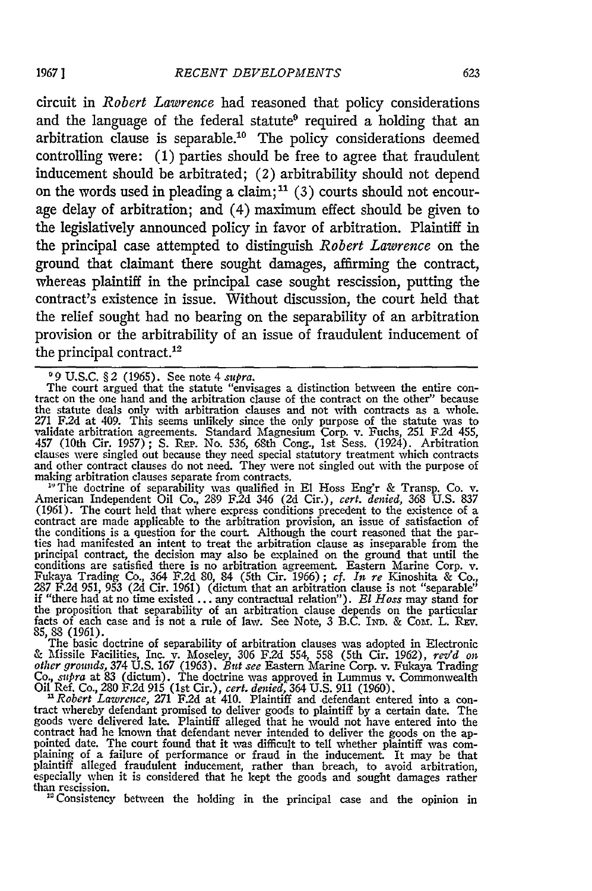circuit in *Robert Lawrence* had reasoned that policy considerations and the language of the federal statute<sup>9</sup> required a holding that an arbitration clause is separable.<sup>10</sup> The policy considerations deemed controlling were: **(1)** parties should be free to agree that fraudulent inducement should be arbitrated; (2) arbitrability should not depend on the words used in pleading a claim; <sup>1</sup>**(3)** courts should not encourage delay of arbitration; and (4) maximum effect should be given to the legislatively announced policy in favor of arbitration. Plaintiff in the principal case attempted to distinguish *Robert Lawrence* on the ground that claimant there sought damages, affirming the contract, whereas plaintiff in the principal case sought rescission, putting the contract's existence in issue. Without discussion, the court held that the relief sought had no bearing on the separability of an arbitration provision or the arbitrability of an issue of fraudulent inducement of the principal contract.<sup>12</sup>

<sup>0</sup>9 U.S.C. §2 (1965). See note 4 *supra*.<br>The court argued that the statute "envisages a distinction between the entire con-<br>tract on the one hand and the arbitration clause of the contract on the other" because the statute deals only with arbitration clauses and not with contracts as a whole. **<sup>271</sup>**F.2d at 409. This seems unlikely since the only purpose of the statute was to validate arbitration agreements. Standard Magnesium Corp. v. Fuchs, 251 F.2d 455<br>457 (10th Cir. 1957); S. Rep. No. 536, 68th Cong., 1st Sess. (1924). Arbitration<br>clauses were singled out because they need special statutory and other contract clauses do not need. They were not singled out with the purpose of making arbitration clauses separate from contracts.

**"** The doctrine of separability was qualified in El Hoss Eng'r & Transp. Co. v. American Independent Oil Co., 289 F.2d 346 (2d Cir.), *cert. denied,* 368 U.S. 837 (1961). The court held that where express conditions precedent to the existence of a contract are made applicable to the arbitration provision, an issue of satisfaction of the conditions is a question for the court. Although the court reasoned that the par- ties had manifested an intent to treat the arbitration clause as inseparable from the principal contract, the decision may also be explained on the ground that until the conditions are satisfied there is no arbitration agreement. Eastern Marine Corp. v. Fukaya Trading Co., 364 F.2d 80, 84 (5th Cir. 1966); the proposition that separability of an arbitration clause depends on the particular<br>facts of each case and is not a rule of law. See Note, 3 B.C. IND. & COM. L. REV<br>85, 88 (1961).<br>The basic doctrine of separability of arb

& Missile Facilities, Inc. v. Moseley, 306 F.2d 554, 558 (5th Cir. 1962), rev'd on<br>other grounds, 374 U.S. 167 (1963). *But see* Eastern Marine Corp. v. Fukaya Trading<br>Co., *supra* at 83 (dictum). The doctrine was approved

Oil Ref. Co., 280 F.2d 915 (1st Cir.), cert. denied, 364 U.S. 911 (1960).<br>
<sup>11</sup> Robert Lawrence, 271 F.2d at 410. Plaintiff and defendant entered into a contract whereby defendant promised to deliver goods to plaintiff by goods were delivered late. Plaintiff alleged that he would not have entered into the<br>contract had he known that defendant never intended to deliver the goods on the ap-<br>pointed date. The court found that it was difficult t plaintiff alleged fraudulent inducement, rather than breach, to avoid arbitration, especially when it is considered that he kept the goods and sought damages rather than rescission.<br>
<sup>12</sup> Consistency between the holding in the principal case and the opinion in

**1967]**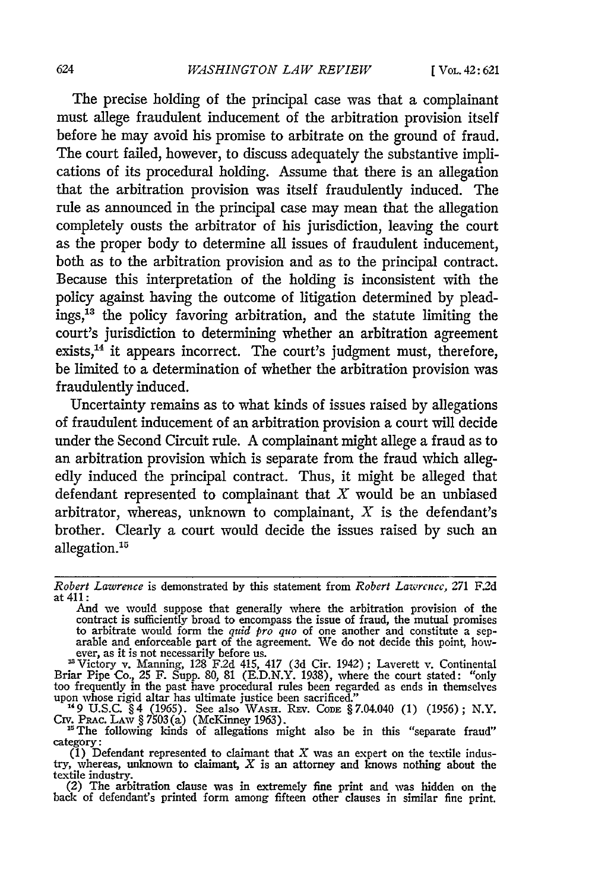The precise holding of the principal case was that a complainant must allege fraudulent inducement of the arbitration provision itself before he may avoid his promise to arbitrate on the ground of fraud. The court failed, however, to discuss adequately the substantive implications of its procedural holding. Assume that there is an allegation that the arbitration provision was itself fraudulently induced. The rule as announced in the principal case may mean that the allegation completely ousts the arbitrator of his jurisdiction, leaving the court as the proper body to determine all issues of fraudulent inducement, both as to the arbitration provision and as to the principal contract. Because this interpretation of the holding is inconsistent with the policy against having the outcome of litigation determined **by** pleadings,13 the policy favoring arbitration, and the statute limiting the court's jurisdiction to determining whether an arbitration agreement exists,<sup>14</sup> it appears incorrect. The court's judgment must, therefore, be limited to a determination of whether the arbitration provision was fraudulently induced.

Uncertainty remains as to what kinds of issues raised **by** allegations of fraudulent inducement of an arbitration provision a court will decide under the Second Circuit rule. **A** complainant might allege a fraud as to an arbitration provision which is separate from the fraud which allegedly induced the principal contract. Thus, it might be alleged that defendant represented to complainant that  $X$  would be an unbiased arbitrator, whereas, unknown to complainant,  $X$  is the defendant's brother. Clearly a court would decide the issues raised **by** such an allegation.<sup>15</sup>

Briar Pipe Co., 25 F. Supp. 80, 81 (E.D.N.Y. 1938), where the court stated: "only too frequently in the past have procedural rules been regarded as ends in themselves upon whose rigid altar has ultimate justice been sacrificed."<br>
<sup>14</sup>9 U.S.C. §4 (1965). See also WASH. REV. Cope §7.04.040 (1) (1956); N.Y.

Crv. PRAc. LAw § 7503(a) (McKinney 1963). **"** The following kinds of allegations might also be in this "separate fraud"

category:<br>
(1) Defendant represented to claimant that  $X$  was an expert on the textile indus-<br>
try, whereas, unknown to claimant,  $X$  is an attorney and knows nothing about the textile industry. (2) The arbitration clause was in extremely fine print and was hidden on the

(2) The arbitration clause was in extremely fine print and was hidden on the back of defendant's printed form among fifteen other clauses in similar fine print.

*Robert Lawrence* is demonstrated **by** this statement from *Robert Lazw'rcnce,* 271 F.2d at 411:

And we would suppose that generally where the arbitration provision of the contract is sufficiently broad to encompass the issue of fraud, the mutual promises<br>to arbitrate would form the *quid pro quo* of one another and constitute a sep-<br>arable and enforceable part of the agreement. We do not de ever, as it is not necessarily before us.<br>Victory v. Manning, 128 F.2d 415, 417 (3d Cir. 1942); Laverett v. Continental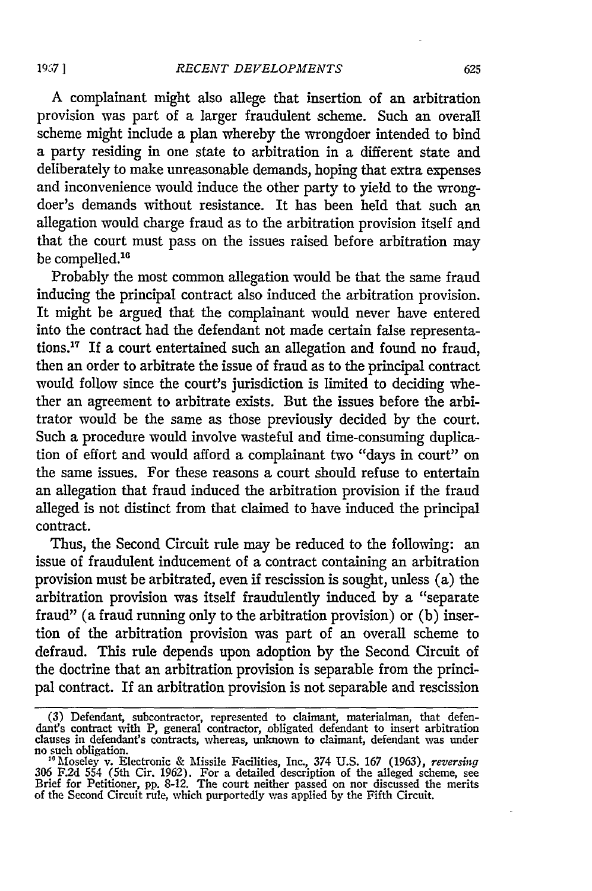A complainant might also allege that insertion of an arbitration provision was part of a larger fraudulent scheme. Such an overall scheme might include a plan whereby the wrongdoer intended to bind a party residing in one state to arbitration in a different state and deliberately to make unreasonable demands, hoping that extra expenses and inconvenience would induce the other party to yield to the wrongdoer's demands without resistance. It has been held that such an allegation would charge fraud as to the arbitration provision itself and that the court must pass on the issues raised before arbitration may be compelled.<sup>16</sup>

Probably the most common allegation would be that the same fraud inducing the principal contract also induced the arbitration provision. It might be argued that the complainant would never have entered into the contract had the defendant not made certain false representations.17 If a court entertained such an allegation and found no fraud, then an order to arbitrate the issue of fraud as to the principal contract would follow since the court's jurisdiction is limited to deciding whether an agreement to arbitrate exists. But the issues before the arbitrator would be the same as those previously decided by the court. Such a procedure would involve wasteful and time-consuming duplication of effort and would afford a complainant two "days in court" on the same issues. For these reasons a court should refuse to entertain an allegation that fraud induced the arbitration provision if the fraud alleged is not distinct from that claimed to have induced the principal contract.

Thus, the Second Circuit rule may be reduced to the following: an issue of fraudulent inducement of a contract containing an arbitration provision must be arbitrated, even if rescission is sought, unless (a) the arbitration provision was itself fraudulently induced by a "separate fraud" (a fraud running only to the arbitration provision) or  $(b)$  insertion of the arbitration provision was part of an overall scheme to defraud. This rule depends upon adoption by the Second Circuit of the doctrine that an arbitration provision is separable from the principal contract. If an arbitration provision is not separable and rescission

<sup>(3)</sup> Defendant, subcontractor, represented to claimant, materialman, that defen-dant's contract with P, general contractor, obligated defendant to insert arbitration clauses in defendant's contracts, whereas, unknown to claimant, defendant was under no such obligation. **"** Moseley v. Electronic **&** Missile Facilities, Inc., 374 **U.S. 167 (1963),** reversing

<sup>306</sup> F.2d 554 (5th Cir. 1962). For a detailed description of the alleged scheme, see<br>Brief for Petitioner, pp. 8-12. The court neither passed on nor discussed the merits<br>of the Second Circuit rule, which purportedly was app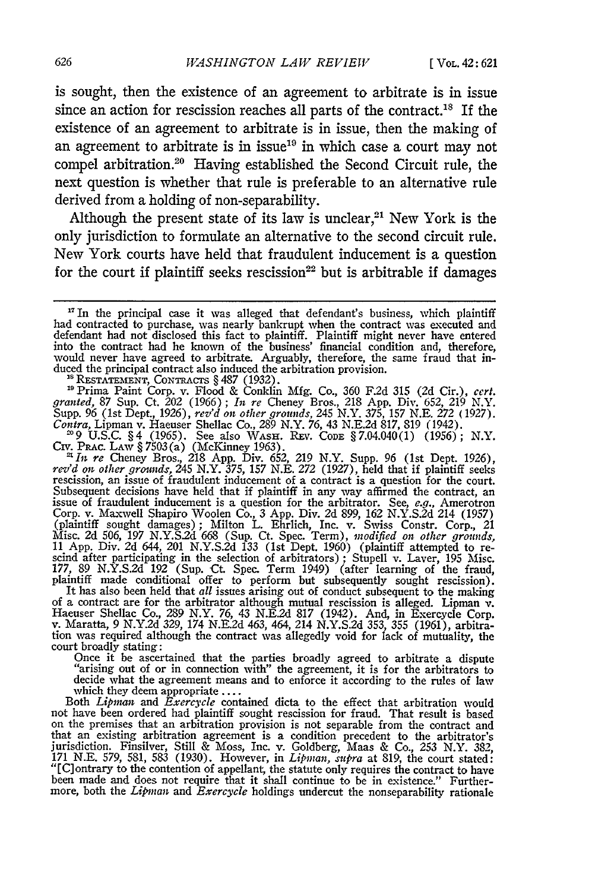is sought, then the existence of an agreement to arbitrate is in issue since an action for rescission reaches all parts of the contract.<sup>18</sup> If the existence of an agreement to arbitrate is in issue, then the making of an agreement to arbitrate is in issue<sup>19</sup> in which case a court may not compel arbitration.<sup>20</sup> Having established the Second Circuit rule, the next question is whether that rule is preferable to an alternative rule derived from a holding of non-separability.

Although the present state of its law is unclear,<sup>21</sup> New York is the only jurisdiction to formulate an alternative to the second circuit rule. New York courts have held that fraudulent inducement is a question for the court if plaintiff seeks rescission<sup>22</sup> but is arbitrable if damages

"Prima Paint Corp. v. Flood & Conklin Mfg. Co., 360 F.2d **315** (2d Cir.), cert. *granted,* 87 Sup. Ct. 202 (1966); *it re* Cheney Bros., 218 App. Div. 652, 219 N.Y. Supp. 96 (1st Dept., 1926), *rev'd on other grounds,* 245 N.Y. 375, 157 N.E. **272** (1927). Contra, Lipman v. Haeuser Shellac Co., 289 N.Y. 76, 43 N.E.2d 817, 819 (1942).<br><sup>29</sup> 9 U.S.C. §4 (1965). See also WASH. REv. Code §7.04.040(1) (1956); N.Y.

Crv. Prac. Law § 7503 (a) (McKinney 1963).<br><sup>21</sup> In re Cheney Bros., 218 App. Div. 652, 219 N.Y. Supp. 96 (1st Dept. 1926),<br>rev'd on other grounds, 245 N.Y. 375, 157 N.E. 272 (1927), held that if plaintiff seeks<br>rescission Corp. v. Maxwell Shapiro Woolen Co., 3 App. Div. 2d 899, 162 N.Y.S.2d 214 (1957) (plaintiff sought damages); Milton L. Ehrlich, Inc. v. Swiss Constr. Corp., 21 Misc. 2d 506, 197 N.Y.S.2d 668 (Sup. Ct. Spec. Term), modified on other grounds, 11 App. Div. 2d 644, 201 N.Y.S.2d 133 (1st Dept. 1960) (plaintiff attempted to rescind after participating in the selection of arbitrators); plaintiff made conditional offer to perform but subsequently sought rescission). It has also been held that *all* issues arising out of conduct subsequent to the making

of a contract are for the arbitrator although mutual rescission is alleged. Lipman v,<br>Haeuser Shellac Co., 289 N.Y. 76, 43 N.E.2d 817 (1942). And, in Exercycle Corp.<br>v. Maratta, 9 N.Y.2d 329, 174 N.E.2d 463, 464, 214 N.Y.S court broadly stating:

Once it be ascertained that the parties broadly agreed to arbitrate a dispute<br>"arising out of or in connection with" the agreement, it is for the arbitrators to<br>decide what the agreement means and to enforce it according t which they deem appropriate ....<br>Both *Lipman* and *Exercycle* contained dicta to the effect that arbitration would

not have been ordered had plaintiff sought rescission for fraud. That result is based on the premises that an arbitration provision is not separable from the contract and that an existing arbitration agreement is a condition precedent to the arbitrator's<br>jurisdiction. Finsilver, Still & Moss, Inc. v. Goldberg, Maas & Co., 253 N.Y. 382<br>171 N.E. 579, 581, 583 (1930). However, in *Lipman, subr* "[C]ontrary to the contention of appellant, the statute only requires the contract to have<br>been made and does not require that it shall continue to be in existence." Further-<br>more, both the *Lipman* and *Exercycle* holding

**<sup>17</sup>**In the principal case it was alleged that defendant's business, which plaintiff had contracted to purchase, was nearly bankrupt when the contract was executed and<br>defendant had not disclosed this fact to plaintiff. Plaintiff might never have entered<br>into the contract had he known of the business' fina would never have agreed to arbitrate. Arguably, therefore, the same fraud that induced the principal contract also induced the arbitration provision.<br><sup>18</sup> RESTATEMENT, CONTRACTS § 487 (1932).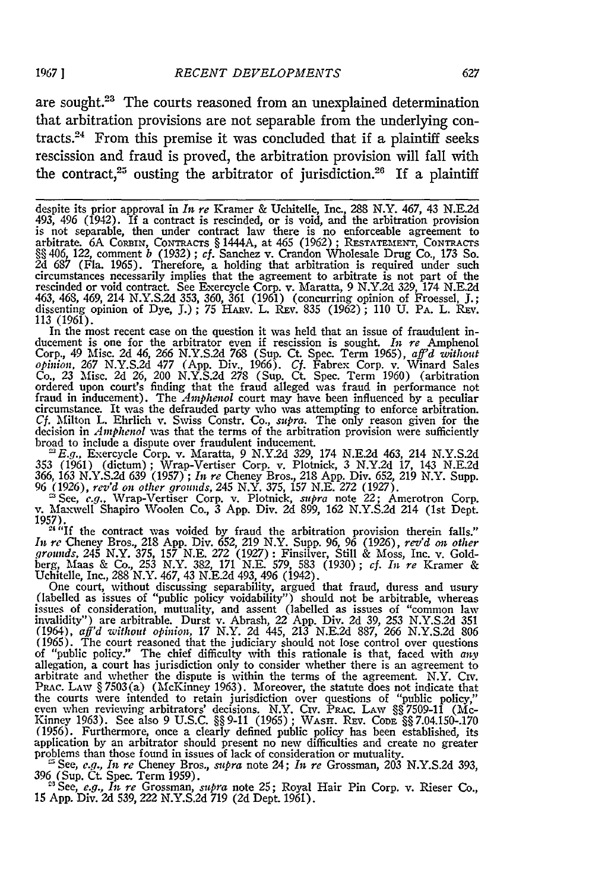are sought.<sup>23</sup> The courts reasoned from an unexplained determination that arbitration provisions are not separable from the underlying contracts.<sup>24</sup> From this premise it was concluded that if a plaintiff seeks rescission and fraud is proved, the arbitration provision will fall with the contract,<sup>25</sup> ousting the arbitrator of jurisdiction.<sup>26</sup> If a plaintiff

In the most recent case on the question it was held that an issue of fraudulent inducement is one for the arbitrator even if rescission is sought. *In re* Ampheno Corp., 49 Misc. 2d 46, 266 N.Y.S.2d 768 (Sup. Ct. Spec. Term 1965), *aff'd without opinion,* 267 N.Y.S.2d 477 (App. Div., 1966). *Cf.* Fabrex Corp. v. Winard Sales Co., 23 Misc. 2d 26, 200 N.Y.S.2d 278 (Sup. Ct. Spec. Term 1960) (arbitration ordered upon court's finding that the fraud alleged was fraud in performance not fraud in inducement). The *Amphenol* court may have been influe circumstance. It was the defrauded party who was attempting to enforce arbitration. *Cf.* Milton L. Ehrlich v. Swiss Constr. Co., *supra.* The only reason given for the decision in *Amphenol* was that the terms of the arbitration provision were sufficiently broad to include a dispute over fraudulent inducement.

**'E.g.,** Exercycle Corp. v. Maratta, **9 N.Y.2d 329,** 174 **N.E.2d** 463, 214 **N.Y.S.2d 353 (1961)** (dictum); Wrap-Vertiser Corp. v. Plotnick, 3 N.Y.2d **17,** 143 **N.E.2d** 366, **163 N.Y.S.2d 639 (1957) ;** *In re* Cheney Bros., 218 **App.** Div. **652, 219** N.Y. Supp. 96 **(1926),** *rev'd on other grounds,* 245 N.Y. **375, 157 N.E. 272 (1927).**

<sup>26</sup> See, *c.g.*, Wrap-Vertiser Corp. v. Plotnick, *supra* note 22; Amerotron Corp.<br>v. Maxwell Shapiro Woolen Co., 3 App. Div. 2d 899, 162 N.Y.S.2d 214 (1st Dept.<br>1957).<br><sup>24</sup> "If the contract was voided by fraud the arbit

*grounds, 245* N.Y. **375, 157 N.E.** *272* **(1927):** Finsilver, Still & Moss, Inc. v. Goldberg, Maas & Co., 253 N.Y. 382, 171 N.E. 579, 583 (1930); cf. In re Kramer & Uchitelle, Inc., 288 N.Y. 467, 43 N.E.2d 493, 496 (1942).<br>
One court, without discussing separability, argued that fraud, duress and usury (label

issues of consideration, mutuality, and assent (labelled as issues of "common law<br>invalidity") are arbitrable. Durst v. Abrash, 22 App. Div. 2d 39, 253 N.Y.S.2d 351<br>(1964), aff'd without opinion, 17 N.Y. 2d 445, 213 N.E.2d (1965). The court reasoned that the judiciary should not lose control over questions of "public policy." The chief difficulty with this rationale is that, faced with *any* allegation, a court has jurisdiction only to consider whether there is an agreement to arbitrate and whether the dispute is within the Prac. Law § 7503(a) (McKinney 1963). Moreover, the statute does not indicate that<br>the courts were intended to retain jurisdiction over questions of "public policy,"<br>even when reviewing arbitrators' decisions. N.Y. Crv. Pra Kinney 1963). See also 9 U.S.C. §§ 9-11 (1965); WASH. REv. Cope §§ 7.04.150-.170<br>(1956). Furthermore, once a clearly defined public policy has been established, its application by an arbitrator should present no new difficulties and create no greater problems than those found in issues of lack of consideration or mutuality.<br>  $\cong$  See, *e.g., In re* Cheney Bros., *supra* note 24; *In re* Grossman, 203 N.Y.S.2d 393

396 (Sup. Ct. Spec. Term 1959). - See, *e.g., In re* Grossman, *supra* note 25; Royal Hair Pin Corp. v. Rieser Co., 15 App. Div. **2d** 539, 222 N.Y.S.2d 719 (2d Dept. 1961).

despite its prior approval in *In re* Kramer & Uchitelle, Inc., 288 N.Y. 467, 43 N.E.2d 493, 496 (1942). If a contract is rescinded, or is void, and the arbitration provision is not separable, then under contract law there is no enforceable agreement to arbitrate. 6A CORBIN, CONTRACTS § 1444A, at 465 (1962); RESTATEMENT, CONTRACTS §§ 406, 122, comment *b* (1932) ; *cf.* Sanchez v. Crandon Wholesale Drug Co., 173 So. 2d 687 (Fla. 1965). Therefore, a holding that arbitration is required under such circumstances necessarily implies that the agreement to arbitrate is not part of the rescinded or void contract. See Exercycle Corp. v. Maratta, 9 N.Y.2d 329, 174 N.E.2d 463, 468, 469, 214 N.Y.S.2d 353, 360, 361 (1961) (concurring opinion of Froessel, J.; dissenting opinion of Dye, J.); 75 HARy. L. REv. 835 (1962); 110 U. PA. L. REv. 113 (1961).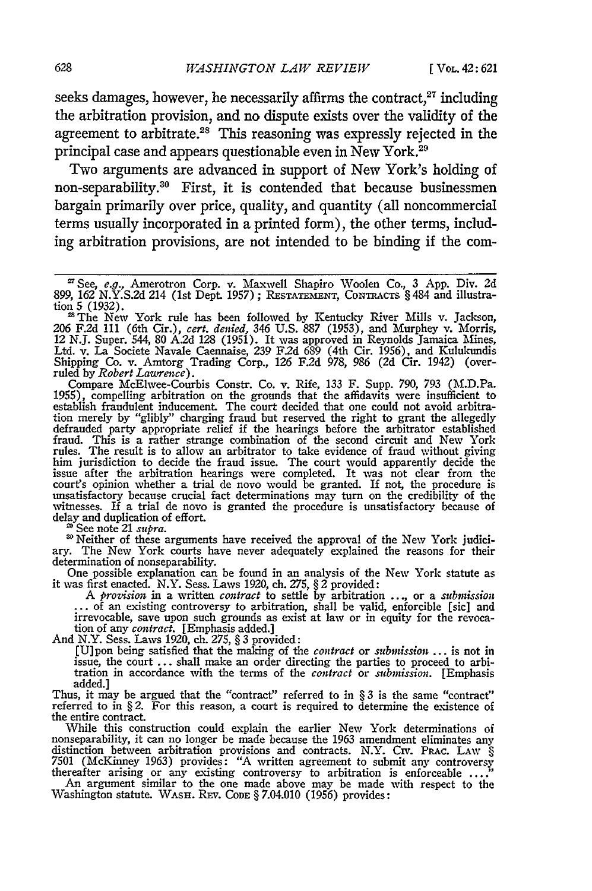seeks damages, however, he necessarily affirms the contract, $27$  including the arbitration provision, and no dispute exists over the validity of the agreement to arbitrate.<sup>28</sup> This reasoning was expressly rejected in the principal case and appears questionable even in New York.<sup>21</sup>

Two arguments are advanced in support of New York's holding of non-separability.30 First, it is contended that because businessmen bargain primarily over price, quality, and quantity (all noncommercial terms usually incorporated in a printed form), the other terms, including arbitration provisions, are not intended to be binding if the com-

Compare McElwee-Courbis Constr. Co. v. Rife, 133 F. Supp. 790, 793 (M.D.Pa. 1955), compelling arbitration on the grounds that the affidavits were insufficient to establish fraudulent inducement. The court decided that one tion merely by "glibly" charging fraud but reserved the right to grant the allegedly defrauded party appropriate relief if the hearings before the arbitrator established fraud. This is a rather strange combination of the second circuit and New York rules. The result is to allow an arbitrator to take evidence of fraud without giving him jurisdiction to decide the fraud issue. The court would apparently decide the issue after the arbitration hearings were completed. It was not clear from the court's opinion whether a trial de novo would be granted. If not, the procedure is<br>unsatisfactory because crucial fact determinations may turn on the credibility of the<br>witnesses. If a trial de novo is granted the procedur delay and duplication of effort.<br>
<sup>29</sup> See note 21 *supra*.<br>
<sup>20</sup> Neither of these arguments have received the approval of the New York judici-

as See note 21 supra.<br>
<sup>as</sup> See note 21 supra.<br>
<sup>as</sup> Neither of these arguments have received the approval of the New York judiciary. The New York courts have never adequately explained the reasons for their determination

One possible explanation can be found in an analysis of the New York statute as<br>it was first enacted. N.Y. Sess. Laws 1920, ch. 275, § 2 provided:<br>A *provision* in a written *contract* to settle by arbitration ..., or a *s* 

irrevocable, save upon such grounds as exist at law or in equity for the revoca- tion of any *contract.* [Emphasis added.] And N.Y. Sess. Laws 1920, ch. 275, § 3 provided:

[U]pon being satisfied that the making of the *contract* or *submission* ... is not in issue, the court ... shall make an order directing the parties to proceed to arbitration in accordance with the terms of the *contract* or *submission*. [Emphasis added.]<br>Thus, it may be argued that the "contract" referred to in § 3 is the same "contract"

Thus, it may be argued that the "contract" referred to in  $\S 3$  is the same "contract" referred to in  $\S 2$ . For this reason, a court is required to determine the existence of the entire contract.

While this construction could explain the earlier New York determinations of nonseparability, it can no longer be made because the 1963 amendment eliminates any distinction between arbitration provisions and contracts. N.Y 7501 (McKinney 1963) provides: "A written agreement to submit any controversy thereafter arising or any existing controversy to arbitration is enforceable **...** .

An argument similar to the one made above may be made with respect to the Washington statute. **WASH.** REv. **CODE** § 7.04.010 (1956) provides:

See, e.g., Amerotron Corp. v. Maxvell Shapiro Woolen Co., 3 App. Div. 2d 899, 162 N.Y.S.2d 214 (1st Dept. 1957) ; **RESTATEMENT,** CONTRACTS § 484 and illustration 5 (1932).<br><sup>28</sup> The New York rule has been followed by Kentucky River Mills v. Jackson,

<sup>206</sup> F.2d 111 (6th Cir.), *cert. denied,* 346 U.S. 887 (1953), and Murphey v. Morris, 12 N.J. Super. 544, 80 A2d *128* (1951). It was approved in Reynolds Jamaica Mines, Ltd. v. La Societe Navale Caennaise, 239 F2d 689 (4th Cir. 1956), and Kulukundis Shipping Co. v. Amtorg Trading Corp., **126** F.2d 978, 986 (2d Cir. 1942) (overruled by *Robert Lawrence).*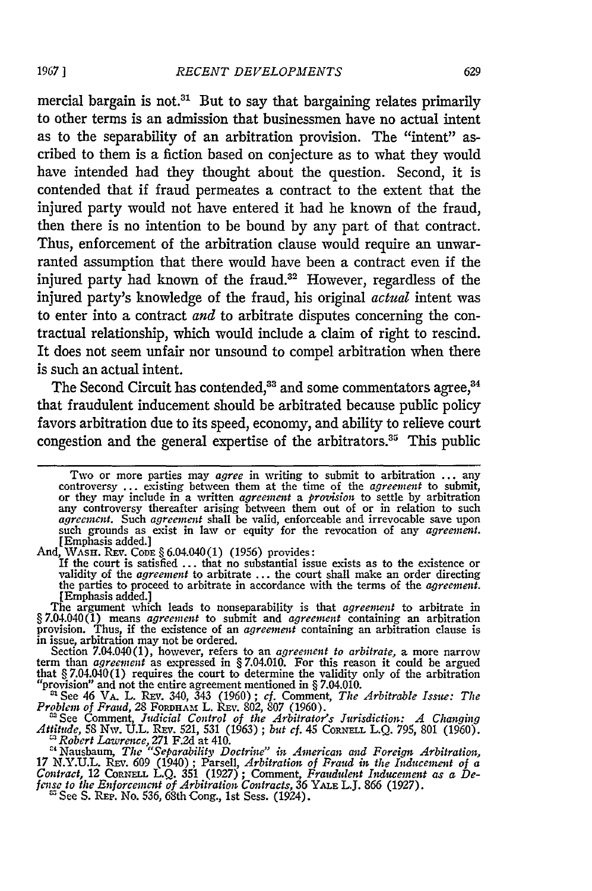mercial bargain is not.<sup>31</sup> But to say that bargaining relates primarily to other terms is an admission that businessmen have no actual intent as to the separability of an arbitration provision. The "intent" ascribed to them is a fiction based on conjecture as to what they would have intended had they thought about the question. Second, it is contended that if fraud permeates a contract to the extent that the injured party would not have entered it had he known of the fraud, then there is no intention to be bound by any part of that contract. Thus, enforcement of the arbitration clause would require an unwarranted assumption that there would have been a contract even if the injured party had known of the fraud.32 However, regardless of the injured party's knowledge of the fraud, his original *actual* intent was to enter into a contract *and* to arbitrate disputes concerning the contractual relationship, which would include a claim of right to rescind. It does not seem unfair nor unsound to compel arbitration when there is such an actual intent.

The Second Circuit has contended,<sup>33</sup> and some commentators agree,<sup>34</sup> that fraudulent inducement should be arbitrated because public policy favors arbitration due to its speed, economy, and ability to relieve court congestion and the general expertise of the arbitrators.<sup>35</sup> This public

Figure 3. Second 1. The second of the second state in the second state of the second state. The court is satisfied ... that no substantial issue exists as to the existence or validity of the *agreement* to arbitrate ... th

The argument which leads to nonseparability is that *agreenent* to arbitrate in §7.04.040(1) means *agreement* to submit and *agreement* containing an arbitration provision. Thus, if the existence of an *agreement* containing an arbitration clause is

in issue, arbitration may not be ordered.<br>Section 7.04.040(1), however, refers to an *agreement to arbitrate*, a more narrow<br>term than *agreement* as expressed in §7.04.010. For this reason it could be argued<br>that §7.04.0

"provision" and not the entire agreement mentioned in § 7.04.010.<br>
<sup>21</sup> See 46 VA, L. REV. 340, 343 (1960); cf. Comment, *The Arbitrable Issue: The Problem of Fraud,* 28 Forpparm L. REv. 802, 807 (1960).<br>
<sup>22</sup> See Comment

<sup>22</sup> *Robert Lawrence, 271 F.2d at 410. energy in the Collision Separability Doctrine" in American and Foreign Arbitration,* 

**<sup>17</sup>**N.Y.U.L. REv. 609 (1940) ; Parsell, *Arbitration of Fraud in the Inducement of a Contract,* 12 **CORNELL L.Q.** 351 (1927) ; Comment, *Fraudulent Inducement as a Defense to the Enforcement of Arbitration Contracts, 36 YALE L.J. 866 (1927)*<br>fense to the Enforcement of Arbitration Contracts, 36 YALE L.J. 866 (1927)

**19671**

Two or more parties may *agree* in writing to submit to arbitration ... any controversy ... existing between them at the time of the *agreement* to submit, or they may include in a written *agreement* a *provision* to sett *agreement.* Such *agreement* shall be valid, enforceable and irrevocable save upon such grounds as exist in law or equity for the revocation of any *agreement.* [Emphasis added.]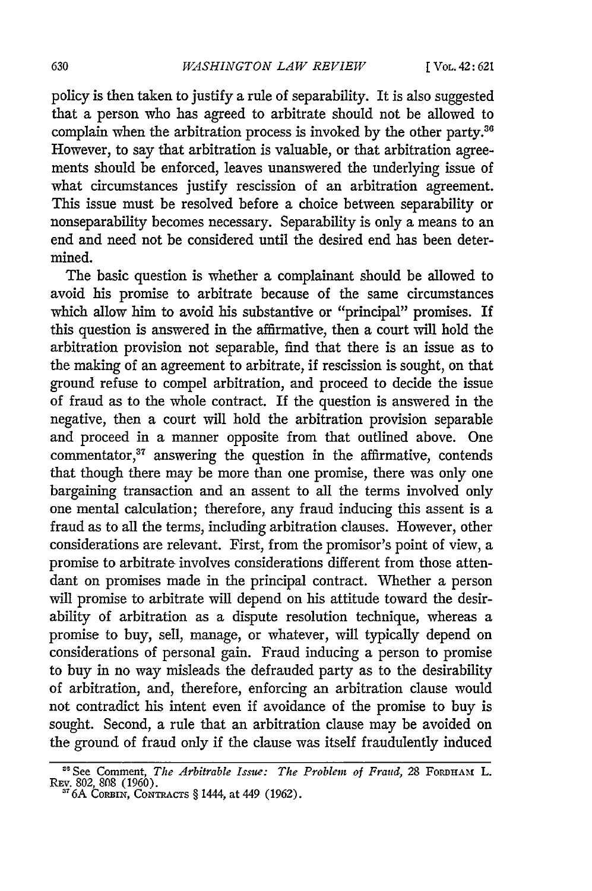policy is then taken to justify a rule of separability. It is also suggested that a person who has agreed to arbitrate should not be allowed to complain when the arbitration process is invoked by the other party.<sup>36</sup> However, to say that arbitration is valuable, or that arbitration agreements should be enforced, leaves unanswered the underlying issue of what circumstances justify rescission of an arbitration agreement. This issue must be resolved before a choice between separability or nonseparability becomes necessary. Separability is only a means to an end and need not be considered until the desired end has been determined.

The basic question is whether a complainant should be allowed to avoid his promise to arbitrate because of the same circumstances which allow him to avoid his substantive or "principal" promises. If this question is answered in the affirmative, then a court will hold the arbitration provision not separable, find that there is an issue as to the making of an agreement to arbitrate, if rescission is sought, on that ground refuse to compel arbitration, and proceed to decide the issue of fraud as to the whole contract. If the question is answered in the negative, then a court will hold the arbitration provision separable and proceed in a manner opposite from that outlined above. One commentator, $37$  answering the question in the affirmative, contends that though there may be more than one promise, there was only one bargaining transaction and an assent to all the terms involved only one mental calculation; therefore, any fraud inducing this assent is a fraud as to all the terms, including arbitration clauses. However, other considerations are relevant. First, from the promisor's point of view, a promise to arbitrate involves considerations different from those attendant on promises made in the principal contract. Whether a person will promise to arbitrate will depend on his attitude toward the desirability of arbitration as a dispute resolution technique, whereas a promise to buy, sell, manage, or whatever, will typically depend on considerations of personal gain. Fraud inducing a person to promise to buy in no way misleads the defrauded party as to the desirability of arbitration, and, therefore, enforcing an arbitration clause would not contradict his intent even if avoidance of the promise to buy is sought. Second, a rule that an arbitration clause may be avoided on the ground of fraud only if the clause was itself fraudulently induced

<sup>&</sup>lt;sup>26</sup> See Comment, *The Arbitrable Issue: The Problem of Fraud*, 28 FORDHAM L. REv. 802, **808** (1960). **'** 6A Co1BiN, **CoNmAcTs** § **1444,** at **449 (1962).**